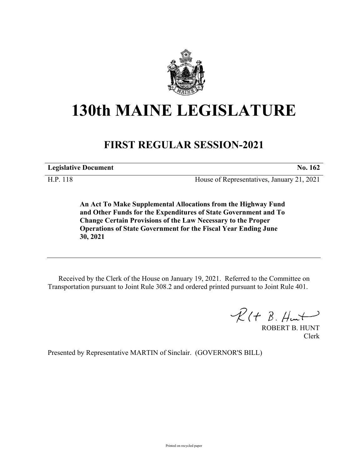

## **130th MAINE LEGISLATURE**

## **FIRST REGULAR SESSION-2021**

**Legislative Document No. 162**

H.P. 118 House of Representatives, January 21, 2021

**An Act To Make Supplemental Allocations from the Highway Fund and Other Funds for the Expenditures of State Government and To Change Certain Provisions of the Law Necessary to the Proper Operations of State Government for the Fiscal Year Ending June 30, 2021**

Received by the Clerk of the House on January 19, 2021. Referred to the Committee on Transportation pursuant to Joint Rule 308.2 and ordered printed pursuant to Joint Rule 401.

 $\mathcal{R}(t \; \mathcal{B}, \#m\rightarrow)$ 

ROBERT B. HUNT Clerk

Presented by Representative MARTIN of Sinclair. (GOVERNOR'S BILL)